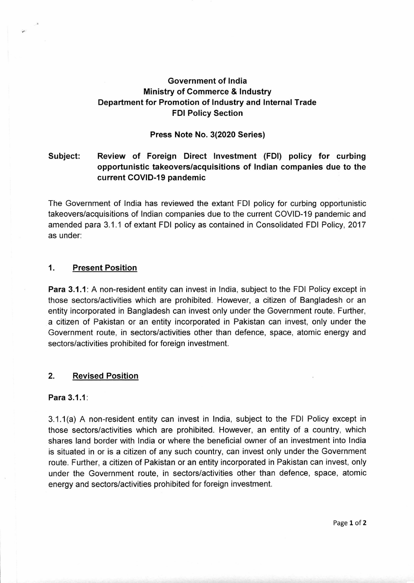# **Government of India Ministry of Commerce & Industry Department for Promotion of Industry and Internal Trade FDI Policy Section**

### **Press Note No. 3(2020 Series)**

# **Subject: Review of Foreign Direct Investment (FDI) policy for curbing opportunistic takeovers/acquisitions of Indian companies due to the current COVID-19 pandemic**

The Government of India has reviewed the extant FDI policy for curbing opportunistic takeovers/acquisitions of Indian companies due to the current COVID-19 pandemic and amended para 3.1.1 of extant FDI policy as contained in Consolidated FDI Policy, 2017 as under:

### **1. Present Position**

**Para 3.1.1:** A non-resident entity can invest in India, subject to the FDI Policy except in those sectors/activities which are prohibited. However, a citizen of Bangladesh or an entity incorporated in Bangladesh can invest only under the Government route. Further, a citizen of Pakistan or an entity incorporated in Pakistan can invest, only under the Government route, in sectors/activities other than defence, space, atomic energy and sectors/activities prohibited for foreign investment.

### **2. Revised Position**

### **Para 3.1.1:**

3.1.1(a) A non-resident entity can invest in India, subject to the FDI Policy except in those sectors/activities which are prohibited. However, an entity of a country, which shares land border with India or where the beneficial owner of an investment into India is situated in or is a citizen of any such country, can invest only under the Government route. Further, a citizen of Pakistan or an entity incorporated in Pakistan can invest, only under the Government route, in sectors/activities other than defence, space, atomic energy and sectors/activities prohibited for foreign investment.